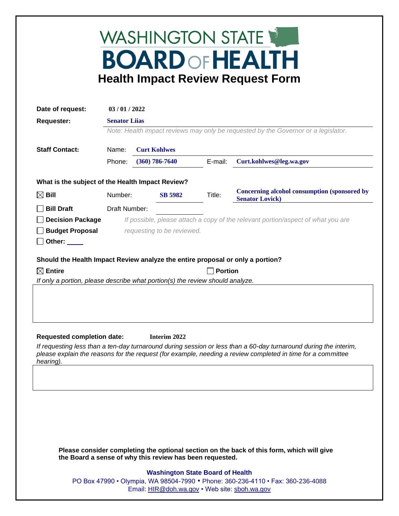## WASHINGTON STATE **BOARD OF HEALTH Health Impact Review Request Form**

| Date of request:                                                                                                                                                                                                                             | 03/01/2022                                                                       |                                                                                    |                    |         |                                                                        |  |
|----------------------------------------------------------------------------------------------------------------------------------------------------------------------------------------------------------------------------------------------|----------------------------------------------------------------------------------|------------------------------------------------------------------------------------|--------------------|---------|------------------------------------------------------------------------|--|
| <b>Requester:</b>                                                                                                                                                                                                                            | <b>Senator Liias</b>                                                             |                                                                                    |                    |         |                                                                        |  |
|                                                                                                                                                                                                                                              |                                                                                  | Note: Health impact reviews may only be requested by the Governor or a legislator. |                    |         |                                                                        |  |
| <b>Staff Contact:</b>                                                                                                                                                                                                                        | Name:                                                                            |                                                                                    |                    |         |                                                                        |  |
|                                                                                                                                                                                                                                              | Phone:                                                                           |                                                                                    | $(360) 786 - 7640$ | E-mail: | Curt.kohlwes@leg.wa.gov                                                |  |
| What is the subject of the Health Impact Review?                                                                                                                                                                                             |                                                                                  |                                                                                    |                    |         |                                                                        |  |
| $\boxtimes$ Bill                                                                                                                                                                                                                             |                                                                                  | <b>SB 5982</b><br>Number:                                                          |                    | Title:  | Concerning alcohol consumption (sponsored by<br><b>Senator Lovick)</b> |  |
| <b>Bill Draft</b>                                                                                                                                                                                                                            | Draft Number:                                                                    |                                                                                    |                    |         |                                                                        |  |
| <b>Decision Package</b>                                                                                                                                                                                                                      | If possible, please attach a copy of the relevant portion/aspect of what you are |                                                                                    |                    |         |                                                                        |  |
| <b>Budget Proposal</b>                                                                                                                                                                                                                       | requesting to be reviewed.                                                       |                                                                                    |                    |         |                                                                        |  |
| Other:                                                                                                                                                                                                                                       |                                                                                  |                                                                                    |                    |         |                                                                        |  |
| Should the Health Impact Review analyze the entire proposal or only a portion?                                                                                                                                                               |                                                                                  |                                                                                    |                    |         |                                                                        |  |
| $\boxtimes$ Entire<br><b>Portion</b>                                                                                                                                                                                                         |                                                                                  |                                                                                    |                    |         |                                                                        |  |
|                                                                                                                                                                                                                                              | If only a portion, please describe what portion(s) the review should analyze.    |                                                                                    |                    |         |                                                                        |  |
|                                                                                                                                                                                                                                              |                                                                                  |                                                                                    |                    |         |                                                                        |  |
| <b>Requested completion date:</b><br>Interim 2022                                                                                                                                                                                            |                                                                                  |                                                                                    |                    |         |                                                                        |  |
| If requesting less than a ten-day turnaround during session or less than a 60-day turnaround during the interim,<br>please explain the reasons for the request (for example, needing a review completed in time for a committee<br>hearing). |                                                                                  |                                                                                    |                    |         |                                                                        |  |
|                                                                                                                                                                                                                                              |                                                                                  |                                                                                    |                    |         |                                                                        |  |
|                                                                                                                                                                                                                                              |                                                                                  |                                                                                    |                    |         |                                                                        |  |
|                                                                                                                                                                                                                                              |                                                                                  |                                                                                    |                    |         |                                                                        |  |
|                                                                                                                                                                                                                                              |                                                                                  |                                                                                    |                    |         |                                                                        |  |
|                                                                                                                                                                                                                                              |                                                                                  |                                                                                    |                    |         |                                                                        |  |
|                                                                                                                                                                                                                                              |                                                                                  |                                                                                    |                    |         |                                                                        |  |
| Please consider completing the optional section on the back of this form, which will give<br>the Board a sense of why this review has been requested.                                                                                        |                                                                                  |                                                                                    |                    |         |                                                                        |  |
| <b>Washington State Board of Health</b><br>PO Box 47990 • Olympia, WA 98504-7990 • Phone: 360-236-4110 • Fax: 360-236-4088<br>Email: HIR@doh.wa.gov • Web site: sboh.wa.gov                                                                  |                                                                                  |                                                                                    |                    |         |                                                                        |  |